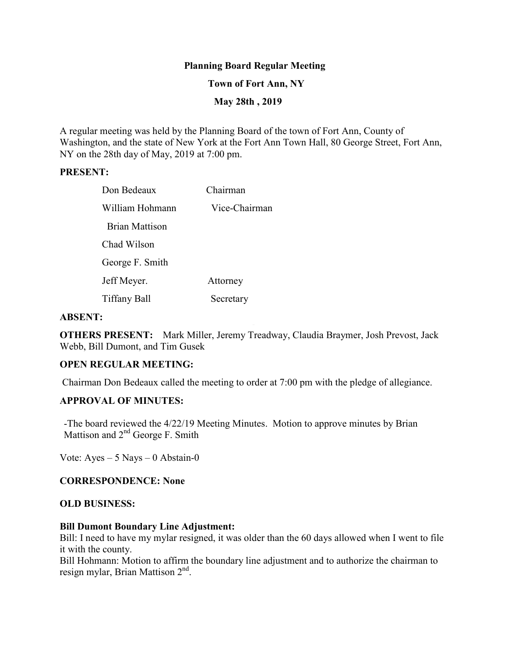## **Planning Board Regular Meeting**

### **Town of Fort Ann, NY**

## **May 28th , 2019**

A regular meeting was held by the Planning Board of the town of Fort Ann, County of Washington, and the state of New York at the Fort Ann Town Hall, 80 George Street, Fort Ann, NY on the 28th day of May, 2019 at 7:00 pm.

#### **PRESENT:**

| Don Bedeaux           | Chairman      |
|-----------------------|---------------|
| William Hohmann       | Vice-Chairman |
| <b>Brian Mattison</b> |               |
| Chad Wilson           |               |
| George F. Smith       |               |
| Jeff Meyer.           | Attorney      |
| <b>Tiffany Ball</b>   | Secretary     |

#### **ABSENT:**

**OTHERS PRESENT:** Mark Miller, Jeremy Treadway, Claudia Braymer, Josh Prevost, Jack Webb, Bill Dumont, and Tim Gusek

#### **OPEN REGULAR MEETING:**

Chairman Don Bedeaux called the meeting to order at 7:00 pm with the pledge of allegiance.

#### **APPROVAL OF MINUTES:**

-The board reviewed the 4/22/19 Meeting Minutes. Motion to approve minutes by Brian Mattison and  $2<sup>nd</sup>$  George F. Smith

Vote:  $Ayes - 5$  Nays  $-0$  Abstain-0

#### **CORRESPONDENCE: None**

#### **OLD BUSINESS:**

#### **Bill Dumont Boundary Line Adjustment:**

Bill: I need to have my mylar resigned, it was older than the 60 days allowed when I went to file it with the county.

Bill Hohmann: Motion to affirm the boundary line adjustment and to authorize the chairman to resign mylar, Brian Mattison 2<sup>nd</sup>.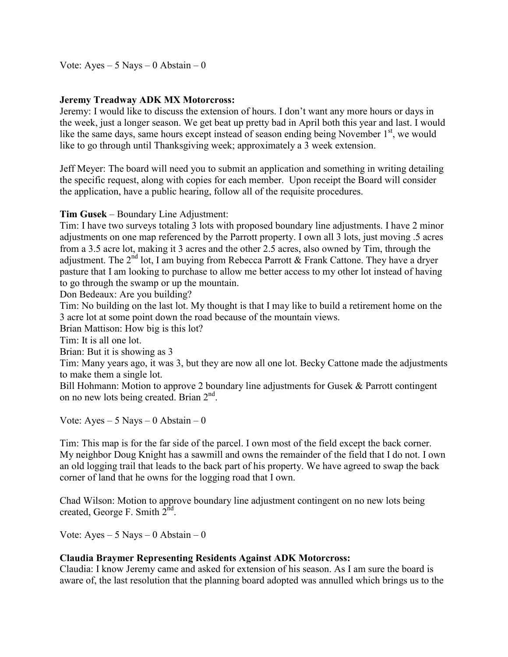Vote:  $Ayes - 5$  Nays  $-0$  Abstain  $-0$ 

# **Jeremy Treadway ADK MX Motorcross:**

Jeremy: I would like to discuss the extension of hours. I don't want any more hours or days in the week, just a longer season. We get beat up pretty bad in April both this year and last. I would like the same days, same hours except instead of season ending being November  $1<sup>st</sup>$ , we would like to go through until Thanksgiving week; approximately a 3 week extension.

Jeff Meyer: The board will need you to submit an application and something in writing detailing the specific request, along with copies for each member. Upon receipt the Board will consider the application, have a public hearing, follow all of the requisite procedures.

## **Tim Gusek** – Boundary Line Adjustment:

Tim: I have two surveys totaling 3 lots with proposed boundary line adjustments. I have 2 minor adjustments on one map referenced by the Parrott property. I own all 3 lots, just moving .5 acres from a 3.5 acre lot, making it 3 acres and the other 2.5 acres, also owned by Tim, through the adjustment. The  $2<sup>nd</sup>$  lot, I am buying from Rebecca Parrott & Frank Cattone. They have a dryer pasture that I am looking to purchase to allow me better access to my other lot instead of having to go through the swamp or up the mountain.

Don Bedeaux: Are you building?

Tim: No building on the last lot. My thought is that I may like to build a retirement home on the 3 acre lot at some point down the road because of the mountain views.

Brian Mattison: How big is this lot?

Tim: It is all one lot.

Brian: But it is showing as 3

Tim: Many years ago, it was 3, but they are now all one lot. Becky Cattone made the adjustments to make them a single lot.

Bill Hohmann: Motion to approve 2 boundary line adjustments for Gusek & Parrott contingent on no new lots being created. Brian 2<sup>nd</sup>.

Vote:  $Ayes - 5$  Nays  $-0$  Abstain  $-0$ 

Tim: This map is for the far side of the parcel. I own most of the field except the back corner. My neighbor Doug Knight has a sawmill and owns the remainder of the field that I do not. I own an old logging trail that leads to the back part of his property. We have agreed to swap the back corner of land that he owns for the logging road that I own.

Chad Wilson: Motion to approve boundary line adjustment contingent on no new lots being created, George F. Smith  $2^{\text{nd}}$ .

Vote: Ayes –  $5$  Nays – 0 Abstain – 0

## **Claudia Braymer Representing Residents Against ADK Motorcross:**

Claudia: I know Jeremy came and asked for extension of his season. As I am sure the board is aware of, the last resolution that the planning board adopted was annulled which brings us to the